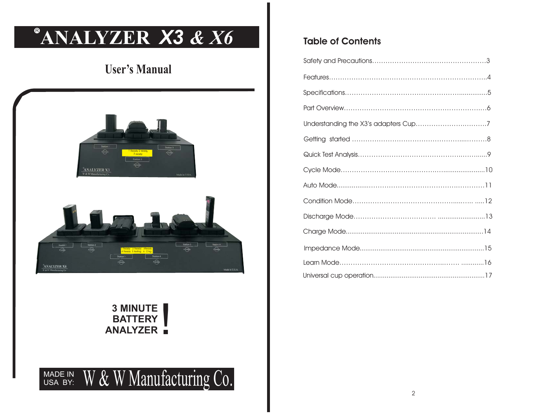# **8 ANALYZER** *X3 & X6*

## **User's Manual**





### **3 MINUTEBATTERY ANALYZER**<br>**ANALYZER**



## **Table of Contents**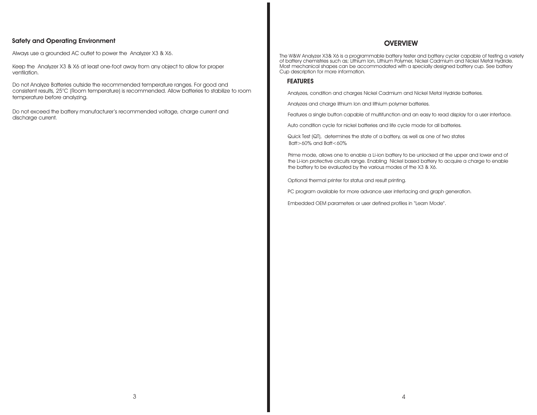#### **Safety and Operating Environment**

Always use <sup>a</sup> grounded AC outlet to power the Analyzer X3 & X6.

Keep the Analyzer X3 & X6 at least one-foot away from any object to allow for proper ventilation.

Do not Analyze Batteries outside the recommended temperature ranges. For good and consistent results, 25°C (Room temperature) is recommended. Allow batteries to stabilize to room temperature before analyzing.

Do not exceed the battery manufacturer's recommended voltage, charge current and discharge current.

#### **OVERVIEW**

of battery chemistries such as; Lithium Ion, Lithium Polymer, Nickel Cadmium and Nickel Metal Hydride. Most mechanical shapes can be accommodated with <sup>a</sup> specially designed battery cup. See battery Cup description for more information. The W&W Analyzer X3& X6 is <sup>a</sup> programmable battery tester and battery cycler capable of testing <sup>a</sup> variety

#### **FEATURES**

Analyzes, condition and charges Nickel Cadmium and Nickel Metal Hydride batteries.

Analyzes and charge lithium Ion and lithium polymer batteries.

Features <sup>a</sup> single button capable of multifunction and an easy to read display for <sup>a</sup> user interface.

Auto condition cycle for nickel batteries and life cycle mode for all batteries.

Quick Test (QT), determines the state of <sup>a</sup> battery, as well as one of two states  $B$ att $>60\%$  and  $B$ att $<60\%$ 

Prime mode, allows one to enable <sup>a</sup> Li-ion battery to be unlocked at the upper and lower end of the Li-ion protective circuits range. Enabling Nickel based battery to acquire <sup>a</sup> charge to enable the battery to be evaluated by the various modes of the X3 & X6.

Optional thermal printer for status and result printing.

PC program available for more advance user interfacing and graph generation.

Embedded OEM parameters or user defined profiles in "Learn Mode".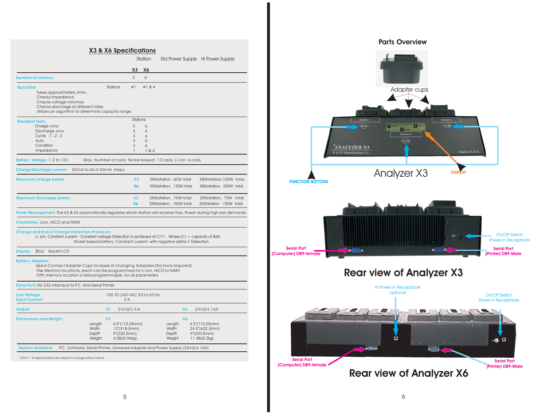#### **X & X6 Specifications X3Number of stationsQuick Test:Standard Tests:**Charge only 3 6 **Battery Voltage Charge/Discharge current:** 50mA to 4A in 50mA steps **Maximum charge power X3 Maximum Discharge power: X3 Power Management** : The X3 & X6 automatically regulates which station will receive max. Power during high pwr demands. **Chemistries** : Lion, NiCD and NiMH**Charge and End of Charge Detection Protocols: Display: Batter y Ada Data Ports:** RS-232 interface to P.C. And Serial Printer **Line Voltage: Input Current: Output: X3 X6 Dimensions and Weight: X3 X6** 3 6#1 #1 & 4Takes approximately 3min. Checks Impedance Checks voltage min/max Checks discharge at different rates Utilizes an algorithm to determine capacity range. Discharge only 3 6 Cycle :  $1, 2, 3$  3 6 Auto 3 6**Condition**  3 6184 Impedance Max. Number of cells: Nickel based : 12 cells, Li-ion: 4 cells 55W/station, 60W total 58W/station, 100W total 25W/station, 75W total , 75W total 25W/station, 75W total Li-ion, Constant current - Constant voltage Detection is achieved at C/11. Where (C) = capacity of Batt. Nickel based battery: Constant current, with negative delta V Detection. 20x2 Backlit LCDQuick Connect Adapter Cups for ease of changing Adapters (No tools required) Five Memory locations, each can be programmed for Li-ion, NiCD or NiMH Fifth memory location is field programmable, for all parameters 100 TO 240 VAC 50 to 60 Hz2 A 24V@4.16A Length 4.5"(110.25mm) Length 4.5"(110.25mm) **Width** Width 13"(318.5mm) Width 24.5"(622.3mm)<br>Depth 9"(220.5mm) Depth 9"(220.5mm) 9"(220.5mm) Weight 6.5lb(2.96kg) Weight 11.3lb(5.2kg) Station Std Power Supply Hi Power Supply **X3 X6**StationsStations **X6** 55W/station, 120W total 58W/station, 200W total **X6**25W/station, 150W total 25W/station 150W total

**Options Available:** P.C. Software, Serial Printer, Universal Adapter and Power Supply (24V@4.16A)

070217 All Specifications are subject to change without notice.



5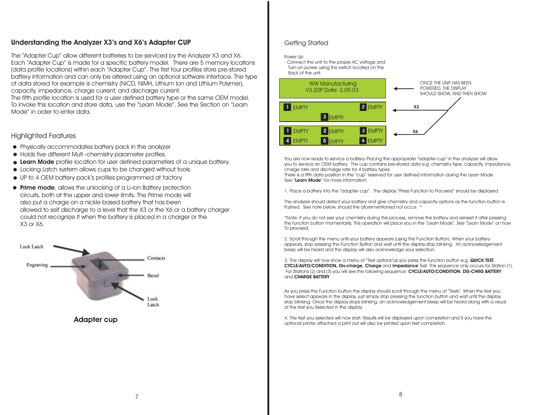#### **Understanding the Analyzer X3's and X6's Adapter CUP**

The "Adapter Cup" allow different batteries to be serviced by the Analyzer X3 and X6. Each "Adapter Cup" is made for <sup>a</sup> specific battery model. There are 5 memory locations (data profile locations) within each "Adapter Cup". The first four profiles store pre-stored battery information and can only be altered using an optional software interface. The type of data stored for example is chemistry (NiCD, NiMH, Lithium Ion and Lithium Polymer), capacity, impedance, charge current, and discharge current.

The fifth profile location is used for <sup>a</sup> user defined battery type or the same OEM model. To invoke this location and store data, use the "Learn Mode". See the Section on "Learn Mode" in order to enter data.

#### Highlighted Features

- Physically accommodates battery pack in the analyzer
- Holds five different Muti -chemistry parameter profiles.
- **Learn Mode** profile location for user defined parameters of <sup>a</sup> unique battery.
- Locking Latch system allows cups to be changed without tools.
- UP to 4 OEM battery pack's profiles programmed at factory
- **Prime mode**, allows the unlocking of a Li-ion Battery protection circuits, both at the upper and lower limits. The Prime mode will also put <sup>a</sup> charge on <sup>a</sup> nickle based battery that has been allowed to self discharge to <sup>a</sup> level that the X3 or the X6 or <sup>a</sup> battery charger could not recognize it when the battery is placed in <sup>a</sup> charger or the X3 or X6.



**Adapter cup**

#### Getting Started

#### Power Up

- Connect the unit to the proper AC voltage and Turn-on power using the switch located on the Back of the unit.



You are now ready to service a battery. Placing the appropriate "adapter cup" in the analyzer will allow you to service an OEM battery. The cup contains pre-stored data e.g. chemistry type, capacity, impedance, charge rate and discharge rate for 4 battery types.

There is <sup>a</sup> fifth data position in the "cup" reserved for user defined information during the Learn Mode. See "**Learn Mode**" for more information.

1. Place <sup>a</sup> battery into the "adapter cup". The display "Press Function to Proceed" should be displayed.

The analyzer should detect your battery and give chemistry and capacity options as the function button is Pushed. See note below, should the aforementioned not occur. \*

\*Note: If you do not see your chemistry during this process, remove the battery and reinsert it after pressing the function button momentarily. This operation will place you in the "Learn Mode". See "Learn Mode" on how To proceed.

2. Scroll through the menu until your battery appears (using the Function Button). When your battery appears, stop pressing the Function Button and wait until the display stop blinking. An acknowledgement beep will be heard and the display will also acknowledge your selection.

3. The display will now show a menu of "Test options"as you press the function button e.g. QUICK TEST, **CYCLE/AUTO/CONDITION, Dis-charge, Charge and Impedance Test. This sequence only occurs for Station (1).** For Stations (2) and (3) you will see the following sequence: , **CYCLE/AUTO/CONDITION DIS-CHRG BATTERY** and**CHARGE BATTERY**

As you press the Function button the display should scroll through the menu of "Tests". When the test you have select appears in the display, just simply stop pressing the function button and wait until the display stop blinking. Once the display stops blinking, an acknowledgement beep will be heard along with <sup>a</sup> visual of the test you Selected in the display.

4. The test you selected will now start. Results will be displayed upon completion and if you have the optional printer attached <sup>a</sup> print out will also be printed upon test completion.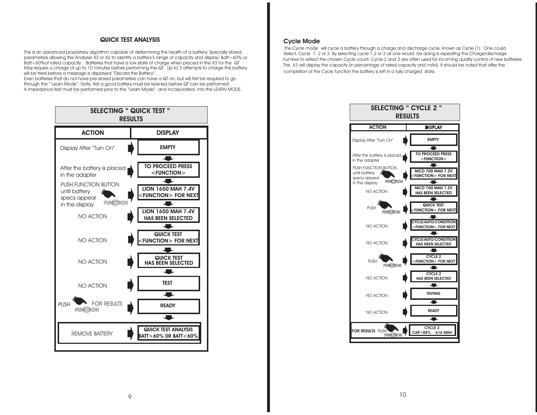#### **QUICK TEST ANALYSIS**

This is an advanced proprietary algorithm capable of determining the health of <sup>a</sup> battery. Specially stored parameters allowing the Analyzer X3 or X6 to identify <sup>a</sup> battery's range of capacity and display: Batt>60% or Batt<60%of rated capacity . Batteries that have <sup>a</sup> low state of charge when placed in the X3 for the QT May require <sup>a</sup> charge of up to 10 minutes before performing the QT. Up to 3 attempts to charge the battery will be tried before <sup>a</sup> message is displayed "Discard the Battery".

Even batteries that do not have pre-stored parameters can have <sup>a</sup> QT on, but will first be required to go through the " Learn Mode". Note, first <sup>a</sup> good battery must be learned before QT can be performed . A impedance test must be performed prior to the "Learn Mode", and incorporated into the LEARN MODE.



#### **Cycle Mode**

The Cycle mode will cycle <sup>a</sup> battery through <sup>a</sup> charge and discharge cycle, known as Cycle (1). One could Select, Cycle 1, 2 or 3. By selecting cycle 1,2 or 3 all one would be doing is repeating the Charge/discharge number to reflect the chosen Cycle count. Cycle 2 and 3 are often used for incoming quality control of new batteries. The X3 will display the capacity (in percentage of rated capacity and mAH). It should be noted that after the completion of the Cycle function the battery is left in <sup>a</sup> fully charged state.

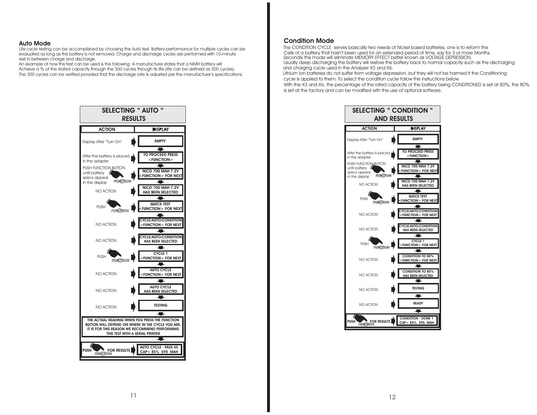#### **Auto Mode**

Life cycle testing can be accomplished by choosing the Auto test. Battery performance for multiple cycles can be evaluated as long as the battery is not removed. Charge and discharge cycles are performed with 10-minute rest in between charge and discharge.

An example of how this test can be used is the following: A manufacturer states that <sup>a</sup> NiMH battery will Achieve <sup>a</sup> % of the stated capacity through the 300 cycles through its life (life can be defined as 300 cycles). The 300 cycles can be verified provided that the discharge rate is adjusted per the manufacturer's specifications.



#### **Condition Mode**

 The CONDITION CYCLE serves basically two needs of Nickel based batteries, one is to reform the Cells of <sup>a</sup> battery that hasn't been used for an extended period of time, say for 3 or more Months. Usually deep discharging the battery will restore the battery back to normal capacity such as the discharging and charging cycle used in the Analyzer X3 and X6. Secondly this mode will eliminate MEMORY EFFECT better known as VOLTAGE DEPRESSION.

Lithium Ion batteries do not suffer from voltage depression, but they will not be harmed if the Conditioning cycle is applied to them. To select the condition cycle follow the instructions below. With the X3 and X6, the percentage of the rated capacity of the battery being CONDITIONED is set at 80%, the 80% is set at the factory and can be modified with the use of optional software.

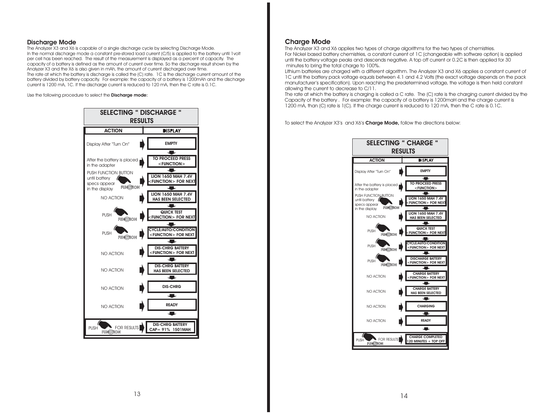#### **Discharge Mode**

The Analyzer X3 and X6 is capable of <sup>a</sup> single discharge cycle by selecting Discharge Mode. In the normal discharge mode <sup>a</sup> constant pre-stored load current (C/5) is applied to the battery until 1volt per cell has been reached. The result of the measurement is displayed as <sup>a</sup> percent of capacity. The capacity of <sup>a</sup> battery is defined as the amount of current over time. So the discharge result shown by the Analyzer X3 and the X6 is also given in mAh, the amount of current discharged over time. The rate at which the battery is discharge is called the (C) rate. 1C is the discharge current amount of the battery divided by battery capacity. For example: the capacity of <sup>a</sup> battery is 1200mAh and the discharge current is 1200 mA, 1C. If the discharge current is reduced to 120 mA, then the C rate is 0.1C.

Use the following procedure to select the **Discharge mode:**



#### **Charge Mode**

The Analyzer X3 and X6 applies two types of charge algorithms for the two types of chemistries. For Nickel based battery chemistries, <sup>a</sup> constant current of 1C (changeable with software option) is applied until the battery voltage peaks and descends negative. A top off current or 0.2C is then applied for 30 minutes to bring the total charge to 100%.

Lithium batteries are charged with <sup>a</sup> different algorithm. The Analyzer X3 and X6 applies <sup>a</sup> constant current of 1C until the battery pack voltage equals between 4.1 and 4.2 Volts (the exact voltage depends on the pack manufacturer's specification). Upon reaching the predetermined voltage, the voltage is then held constant allowing the current to decrease to C/11.

The rate at which the battery is charging is called <sup>a</sup> C rate. The (C) rate is the charging current divided by the Capacity of the battery . For example: the capacity of <sup>a</sup> battery is 1200maH and the charge current is 1200 mA, than (C) rate is 1(C). If the charge current is reduced to 120 mA, then the C rate is 0.1C.

To select the Analyzer X3's and X6's **Charge Mode,** follow the directions below:

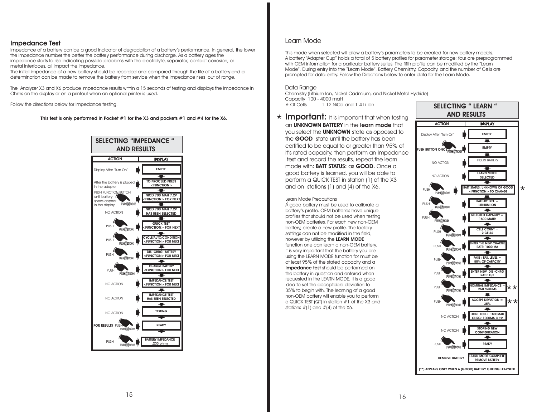#### **Impedance Test**

Impedance of <sup>a</sup> battery can be <sup>a</sup> good indicator of degradation of <sup>a</sup> battery's performance. In general, the lower the impedance number the better the battery performance during discharge. As <sup>a</sup> battery ages the impedance starts to rise indicating possible problems with the electrolyte, separator, contact corrosion, or metal interfaces, all impact the impedance.

The initial impedance of <sup>a</sup> new battery should be recorded and compared through the life of <sup>a</sup> battery and <sup>a</sup> determination can be made to remove the battery from service when the impedance rises out of range.

The Analyzer X3 and X6 produce impedance results within <sup>a</sup> 15 seconds of testing and displays the impedance in Ohms on the display or on <sup>a</sup> printout when an optional printer is used.

Follow the directions below for Impedance testing.

This test is only performed in Pocket  $#1$  for the X3 and pockets  $#1$  and  $#4$  for the X6.



#### Learn Mode

A battery "Adapter Cup" holds <sup>a</sup> total of 5 battery profiles for parameter storage; four are preprogrammed Mode". During entry into the "Learn Mode", Battery Chemistry, Capacity, and the number of Cells are This mode when selected will allow <sup>a</sup> battery's parameters to be created for new battery models. with OEM information for a particular battery series. The fifth profile can be modified by the "Learn prompted for data entry. Follow the Directions below to enter data for the Learn Mode.

#### Data Range

Chemistry (Lithium Ion, Nickel Cadmium, and Nickel Metal Hydride)  $# \overrightarrow{O}$  f Cells 1-12 NiCd and 1-4 Li-ion Capacity 100 - 4000 maH

 $\star$  **Important:** It is important that when testing **an UNKNOWN BATTERY** in the **learn mode** that you select the **UNKNOWN** state as opposed to the **GOOD** state until the battery has been certified to be equal to or greater than 95% of it's rated capacity, then perform an Impedance test and record the results, repeat the learn **m**ode with: **BATT STATUS:** as **GOOD.** Once a good battery is learned, you will be able to perform <sup>a</sup> QUICK TEST in station (1) of the X3 and on stations (1) and (4) of the X6.

#### Learn Mode Precautions

**.** A good battery must be used to calibrate <sup>a</sup> battery's profile. OEM batteries have unique profiles that should not be used when testing non-OEM batteries. For each new non-OEMbattery, create <sup>a</sup> new profile. The factory settings can not be modified in the field, however by utilizing the **LEARN MODE**function one can learn <sup>a</sup> non-OEM battery. It is very important that the battery you are using the LEARN MODE function for must be at least 95% of the stated capacity and <sup>a</sup> **Impedance test** should be performed on the battery in question and entered when requested in the LEARN MODE. It is <sup>a</sup> good idea to set the acceptable deviation to 35% to begin with. The learning of <sup>a</sup> good non-OEM battery will enable you to perform <sup>a</sup> QUICK TEST (QT) in station #1 of the X3 and stations #(1) and #(4) of the X6.